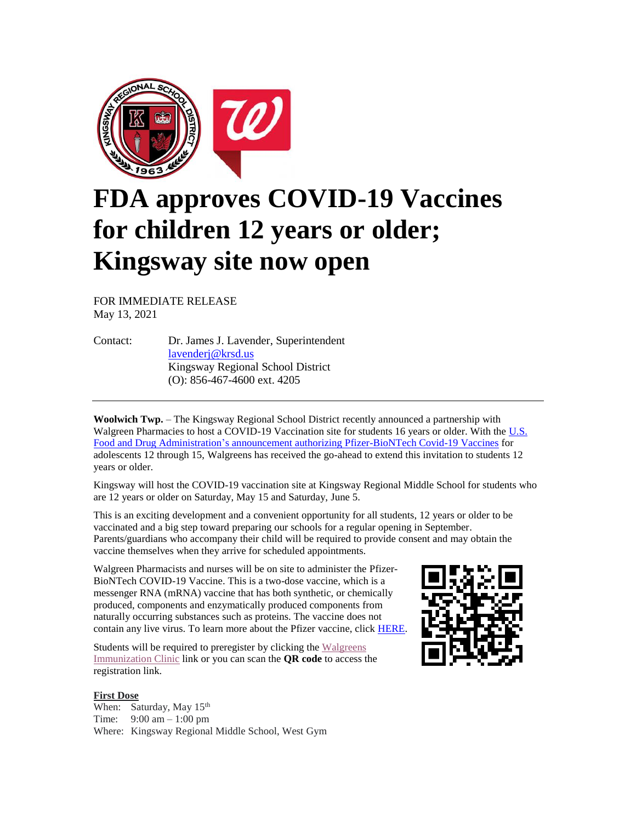

## **FDA approves COVID-19 Vaccines for children 12 years or older; Kingsway site now open**

FOR IMMEDIATE RELEASE May 13, 2021

Contact: Dr. James J. Lavender, Superintendent [lavenderj@krsd.us](mailto:lavenderj@krsd.us) Kingsway Regional School District (O): 856-467-4600 ext. 4205

**Woolwich Twp.** – The Kingsway Regional School District recently announced a partnership with Walgreen Pharmacies to host a COVID-19 Vaccination site for students 16 years or older. With the U.S. [Food and Drug Administration's announcement authorizing Pfizer-BioNTech Covid-19 Vaccines](https://www.fda.gov/news-events/press-announcements/coronavirus-covid-19-update-fda-authorizes-pfizer-biontech-covid-19-vaccine-emergency-use) for adolescents 12 through 15, Walgreens has received the go-ahead to extend this invitation to students 12 years or older.

Kingsway will host the COVID-19 vaccination site at Kingsway Regional Middle School for students who are 12 years or older on Saturday, May 15 and Saturday, June 5.

This is an exciting development and a convenient opportunity for all students, 12 years or older to be vaccinated and a big step toward preparing our schools for a regular opening in September. Parents/guardians who accompany their child will be required to provide consent and may obtain the vaccine themselves when they arrive for scheduled appointments.

Walgreen Pharmacists and nurses will be on site to administer the Pfizer-BioNTech COVID-19 Vaccine. This is a two-dose vaccine, which is a messenger RNA (mRNA) vaccine that has both synthetic, or chemically produced, components and enzymatically produced components from naturally occurring substances such as proteins. The vaccine does not contain any live virus. To learn more about the Pfizer vaccine, click **HERE**.

Students will be required to preregister by clicking the Walgreens [Immunization Clinic](https://wagsoutreach.com/ss/KIN323078) link or you can scan the **QR code** to access the registration link.

## **First Dose**

When: Saturday, May 15<sup>th</sup> Time: 9:00 am – 1:00 pm Where: Kingsway Regional Middle School, West Gym